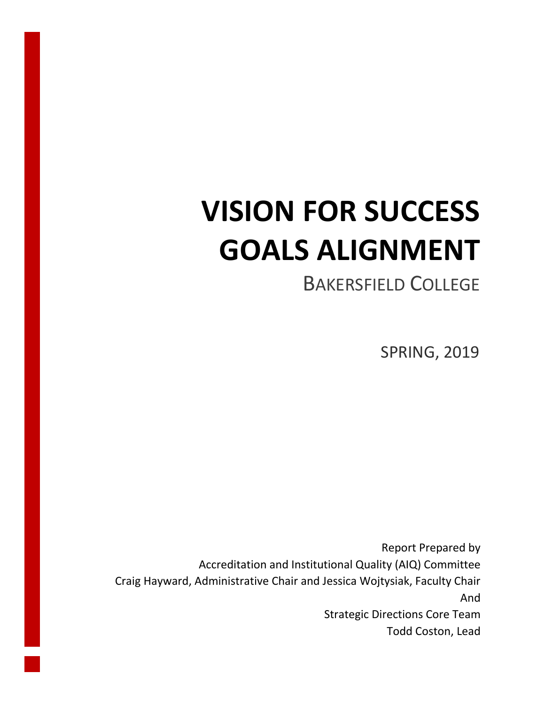# **VISION FOR SUCCESS GOALS ALIGNMENT**

# BAKERSFIELD COLLEGE

SPRING, 2019

Report Prepared by Accreditation and Institutional Quality (AIQ) Committee Craig Hayward, Administrative Chair and Jessica Wojtysiak, Faculty Chair And Strategic Directions Core Team Todd Coston, Lead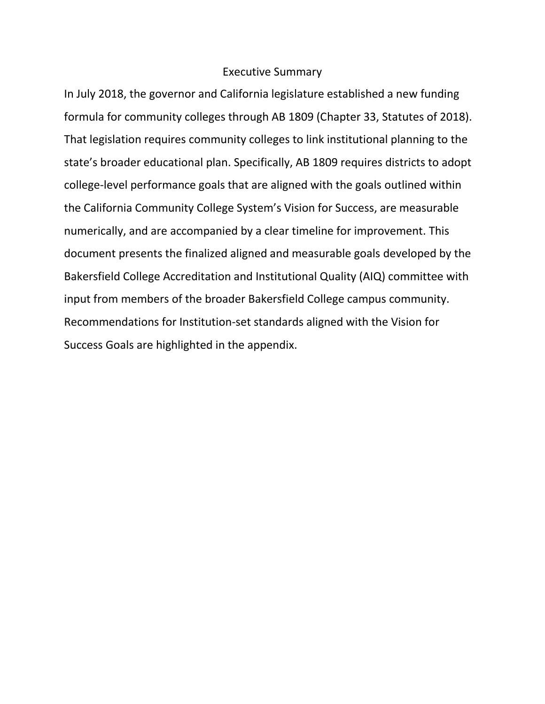#### Executive Summary

In July 2018, the governor and California legislature established a new funding formula for community colleges through AB 1809 (Chapter 33, Statutes of 2018). That legislation requires community colleges to link institutional planning to the state's broader educational plan. Specifically, AB 1809 requires districts to adopt college-level performance goals that are aligned with the goals outlined within the California Community College System's Vision for Success, are measurable numerically, and are accompanied by a clear timeline for improvement. This document presents the finalized aligned and measurable goals developed by the Bakersfield College Accreditation and Institutional Quality (AIQ) committee with input from members of the broader Bakersfield College campus community. Recommendations for Institution-set standards aligned with the Vision for Success Goals are highlighted in the appendix.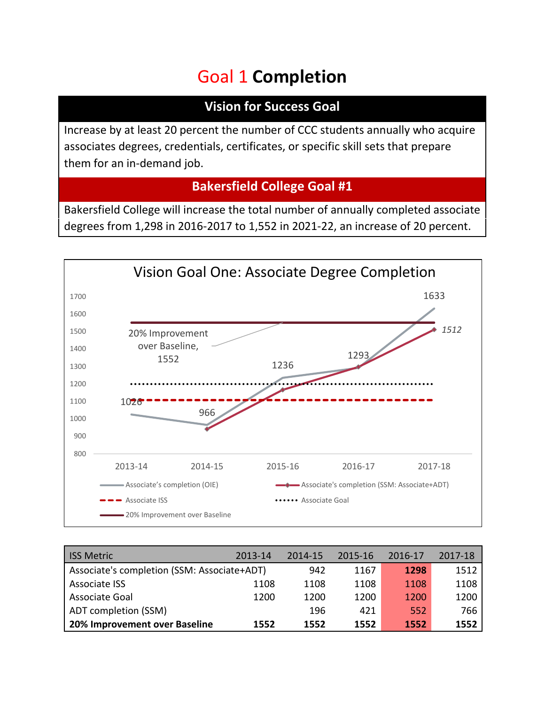# Goal 1 **Completion**

### **Vision for Success Goal**

Increase by at least 20 percent the number of CCC students annually who acquire associates degrees, credentials, certificates, or specific skill sets that prepare them for an in-demand job.

### **Bakersfield College Goal #1**

Bakersfield College will increase the total number of annually completed associate degrees from 1,298 in 2016-2017 to 1,552 in 2021-22, an increase of 20 percent.



| <b>ISS Metric</b>                           | 2013-14 | 2014-15 | 2015-16 | 2016-17 | 2017-18 |
|---------------------------------------------|---------|---------|---------|---------|---------|
| Associate's completion (SSM: Associate+ADT) | 942     | 1167    | 1298    | 1512    |         |
| <b>Associate ISS</b>                        | 1108    | 1108    | 1108    | 1108    | 1108    |
| Associate Goal                              | 1200    | 1200    | 1200    | 1200    | 1200    |
| ADT completion (SSM)                        |         | 196     | 421     | 552     | 766     |
| 20% Improvement over Baseline               | 1552    | 1552    | 1552    | 1552    | 1552    |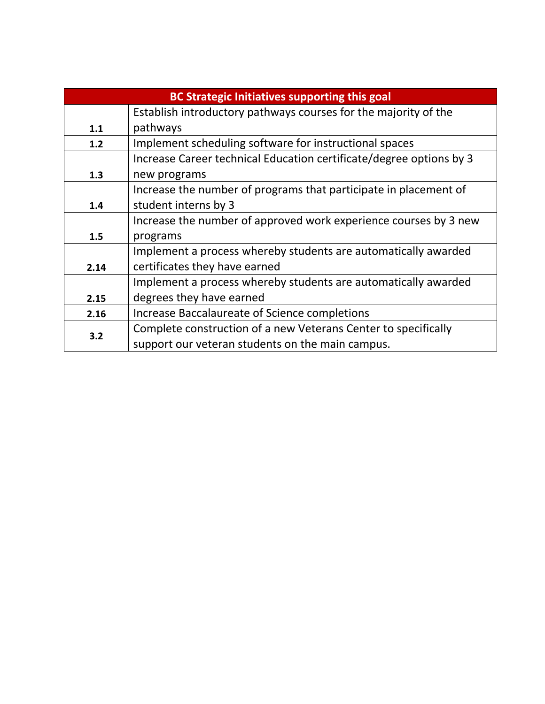|      | <b>BC Strategic Initiatives supporting this goal</b>                |  |  |  |  |  |  |  |
|------|---------------------------------------------------------------------|--|--|--|--|--|--|--|
|      | Establish introductory pathways courses for the majority of the     |  |  |  |  |  |  |  |
| 1.1  | pathways                                                            |  |  |  |  |  |  |  |
| 1.2  | Implement scheduling software for instructional spaces              |  |  |  |  |  |  |  |
|      | Increase Career technical Education certificate/degree options by 3 |  |  |  |  |  |  |  |
| 1.3  | new programs                                                        |  |  |  |  |  |  |  |
|      | Increase the number of programs that participate in placement of    |  |  |  |  |  |  |  |
| 1.4  | student interns by 3                                                |  |  |  |  |  |  |  |
|      | Increase the number of approved work experience courses by 3 new    |  |  |  |  |  |  |  |
| 1.5  | programs                                                            |  |  |  |  |  |  |  |
|      | Implement a process whereby students are automatically awarded      |  |  |  |  |  |  |  |
| 2.14 | certificates they have earned                                       |  |  |  |  |  |  |  |
|      | Implement a process whereby students are automatically awarded      |  |  |  |  |  |  |  |
| 2.15 | degrees they have earned                                            |  |  |  |  |  |  |  |
| 2.16 | Increase Baccalaureate of Science completions                       |  |  |  |  |  |  |  |
| 3.2  | Complete construction of a new Veterans Center to specifically      |  |  |  |  |  |  |  |
|      | support our veteran students on the main campus.                    |  |  |  |  |  |  |  |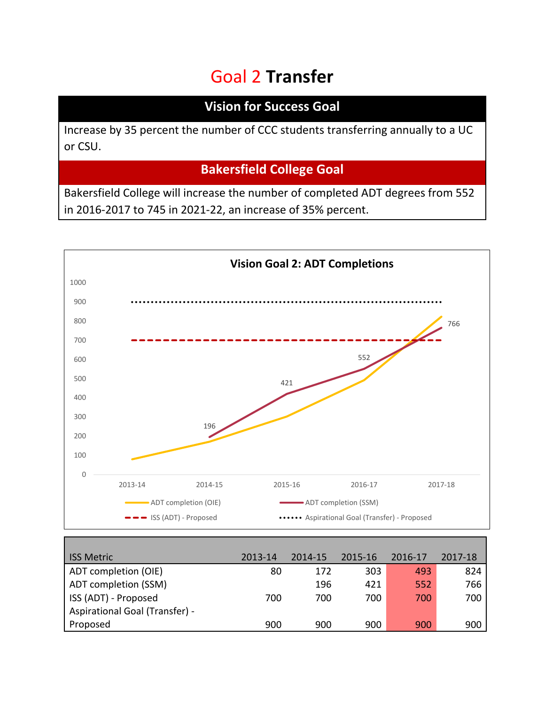# Goal 2 **Transfer**

### **Vision for Success Goal**

Increase by 35 percent the number of CCC students transferring annually to a UC or CSU.

## **Bakersfield College Goal**

Bakersfield College will increase the number of completed ADT degrees from 552 in 2016-2017 to 745 in 2021-22, an increase of 35% percent.



| <b>ISS Metric</b>              | 2013-14 | 2014-15 | 2015-16 | 2016-17 | 2017-18 |
|--------------------------------|---------|---------|---------|---------|---------|
| ADT completion (OIE)           | 80      | 172     | 303     | 493     | 824     |
| ADT completion (SSM)           |         | 196     | 421     | 552     | 766     |
| ISS (ADT) - Proposed           | 700     | 700     | 700     | 700     | 700     |
| Aspirational Goal (Transfer) - |         |         |         |         |         |
| Proposed                       | 900     | 900     | 900     | 900     | 900     |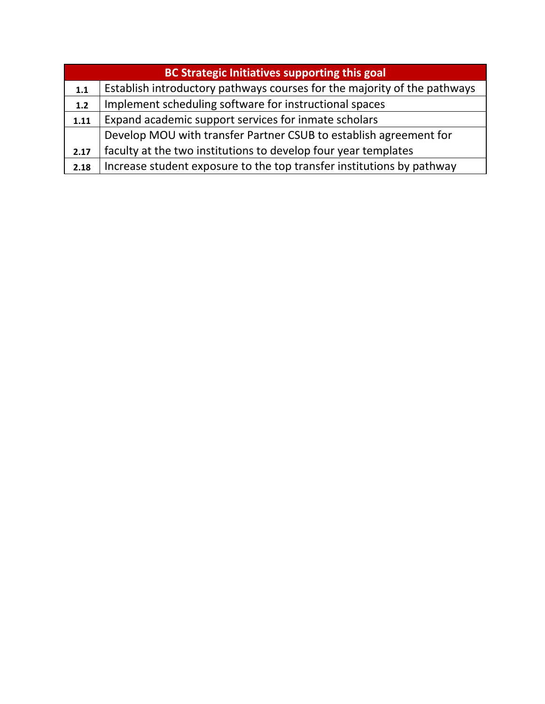|       | <b>BC Strategic Initiatives supporting this goal</b>                     |  |  |  |  |  |  |
|-------|--------------------------------------------------------------------------|--|--|--|--|--|--|
| 1.1   | Establish introductory pathways courses for the majority of the pathways |  |  |  |  |  |  |
| $1.2$ | Implement scheduling software for instructional spaces                   |  |  |  |  |  |  |
| 1.11  | Expand academic support services for inmate scholars                     |  |  |  |  |  |  |
|       | Develop MOU with transfer Partner CSUB to establish agreement for        |  |  |  |  |  |  |
| 2.17  | faculty at the two institutions to develop four year templates           |  |  |  |  |  |  |
| 2.18  | Increase student exposure to the top transfer institutions by pathway    |  |  |  |  |  |  |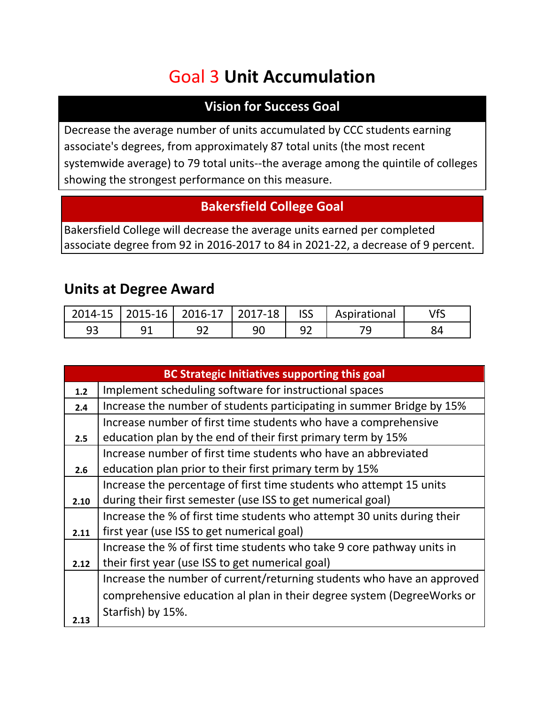# Goal 3 **Unit Accumulation**

### **Vision for Success Goal**

Decrease the average number of units accumulated by CCC students earning associate's degrees, from approximately 87 total units (the most recent systemwide average) to 79 total units--the average among the quintile of colleges showing the strongest performance on this measure.

#### **Bakersfield College Goal**

Bakersfield College will decrease the average units earned per completed associate degree from 92 in 2016-2017 to 84 in 2021-22, a decrease of 9 percent.

## **Units at Degree Award**

|  | 2014-15   2015-16   2016-17   2017-18   ISS |  | Aspirational |  |
|--|---------------------------------------------|--|--------------|--|
|  |                                             |  |              |  |

|       | <b>BC Strategic Initiatives supporting this goal</b>                    |
|-------|-------------------------------------------------------------------------|
| $1.2$ | Implement scheduling software for instructional spaces                  |
| 2.4   | Increase the number of students participating in summer Bridge by 15%   |
|       | Increase number of first time students who have a comprehensive         |
| 2.5   | education plan by the end of their first primary term by 15%            |
|       | Increase number of first time students who have an abbreviated          |
| 2.6   | education plan prior to their first primary term by 15%                 |
|       | Increase the percentage of first time students who attempt 15 units     |
| 2.10  | during their first semester (use ISS to get numerical goal)             |
|       | Increase the % of first time students who attempt 30 units during their |
| 2.11  | first year (use ISS to get numerical goal)                              |
|       | Increase the % of first time students who take 9 core pathway units in  |
| 2.12  | their first year (use ISS to get numerical goal)                        |
|       | Increase the number of current/returning students who have an approved  |
|       | comprehensive education al plan in their degree system (Degree Works or |
|       | Starfish) by 15%.                                                       |
| 2.13  |                                                                         |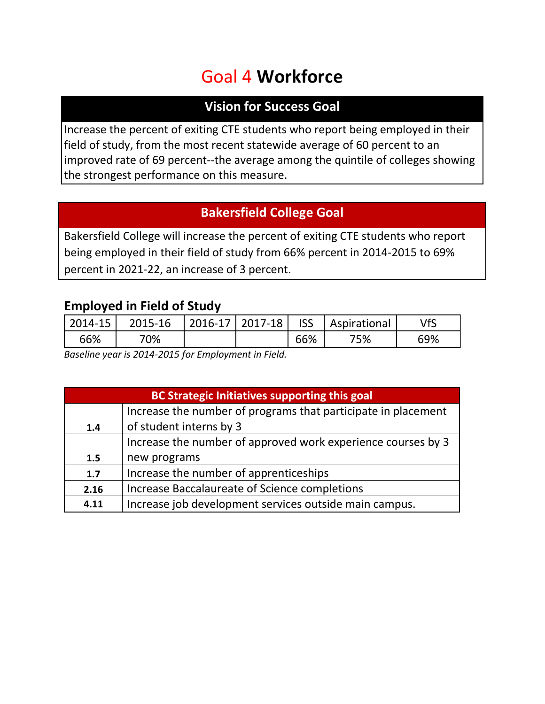# Goal 4 **Workforce**

#### **Vision for Success Goal**

Increase the percent of exiting CTE students who report being employed in their field of study, from the most recent statewide average of 60 percent to an improved rate of 69 percent--the average among the quintile of colleges showing the strongest performance on this measure.

### **Bakersfield College Goal**

Bakersfield College will increase the percent of exiting CTE students who report being employed in their field of study from 66% percent in 2014-2015 to 69% percent in 2021-22, an increase of 3 percent.

#### **Employed in Field of Study**

| $2014 - 15$ | 2015-16 | $\vert$ 2016-17   2017-18   ISS |     | Aspirational |     |
|-------------|---------|---------------------------------|-----|--------------|-----|
| 66%         | 70%     |                                 | 66% | '5%          | 69% |

*Baseline year is 2014-2015 for Employment in Field.*

| <b>BC Strategic Initiatives supporting this goal</b>          |                                                              |  |  |  |  |  |  |
|---------------------------------------------------------------|--------------------------------------------------------------|--|--|--|--|--|--|
| Increase the number of programs that participate in placement |                                                              |  |  |  |  |  |  |
| 1.4                                                           | of student interns by 3                                      |  |  |  |  |  |  |
|                                                               | Increase the number of approved work experience courses by 3 |  |  |  |  |  |  |
| 1.5                                                           | new programs                                                 |  |  |  |  |  |  |
| 1.7                                                           | Increase the number of apprenticeships                       |  |  |  |  |  |  |
| 2.16                                                          | Increase Baccalaureate of Science completions                |  |  |  |  |  |  |
| 4.11                                                          | Increase job development services outside main campus.       |  |  |  |  |  |  |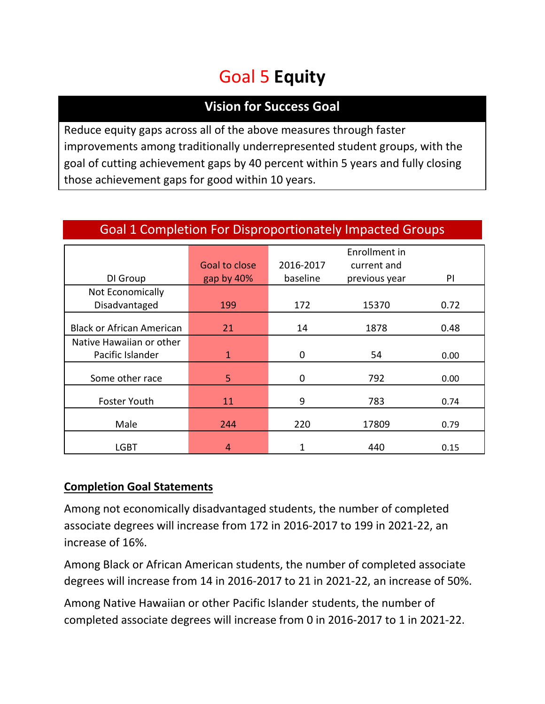# Goal 5 **Equity**

### **Vision for Success Goal**

Reduce equity gaps across all of the above measures through faster improvements among traditionally underrepresented student groups, with the goal of cutting achievement gaps by 40 percent within 5 years and fully closing those achievement gaps for good within 10 years.

|                                  |               |           | Enrollment in |      |
|----------------------------------|---------------|-----------|---------------|------|
|                                  | Goal to close | 2016-2017 | current and   |      |
| DI Group                         | gap by 40%    | baseline  | previous year | PI   |
| Not Economically                 |               |           |               |      |
| Disadvantaged                    | 199           | 172       | 15370         | 0.72 |
|                                  |               |           |               |      |
| <b>Black or African American</b> | 21            | 14        | 1878          | 0.48 |
| Native Hawaiian or other         |               |           |               |      |
| Pacific Islander                 | 1             | 0         | 54            | 0.00 |
|                                  |               |           |               |      |
| Some other race                  | 5             | 792<br>0  |               | 0.00 |
|                                  |               |           |               | 0.74 |
| Foster Youth                     | 11            |           | 9<br>783      |      |
|                                  |               |           |               |      |
| Male<br>244                      |               | 220       | 17809         | 0.79 |
|                                  |               |           |               |      |
| LGBT                             | 4             | 1         | 440           | 0.15 |

#### Goal 1 Completion For Disproportionately Impacted Groups

#### **Completion Goal Statements**

Among not economically disadvantaged students, the number of completed associate degrees will increase from 172 in 2016-2017 to 199 in 2021-22, an increase of 16%.

Among Black or African American students, the number of completed associate degrees will increase from 14 in 2016-2017 to 21 in 2021-22, an increase of 50%.

Among Native Hawaiian or other Pacific Islander students, the number of completed associate degrees will increase from 0 in 2016-2017 to 1 in 2021-22.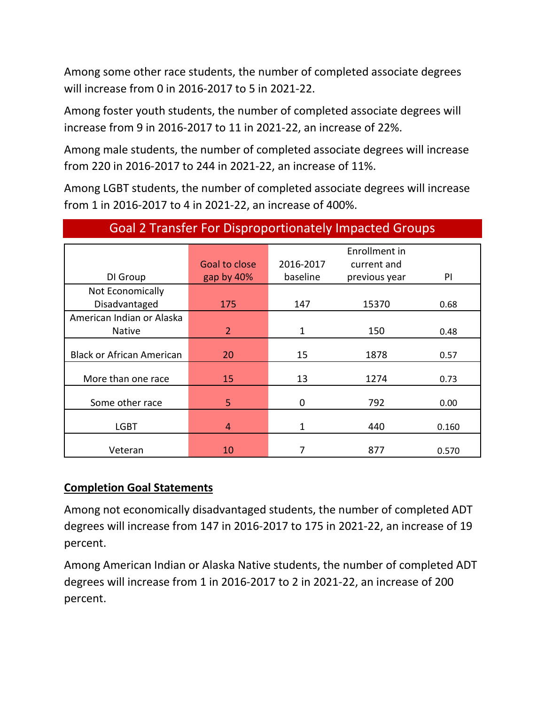Among some other race students, the number of completed associate degrees will increase from 0 in 2016-2017 to 5 in 2021-22.

Among foster youth students, the number of completed associate degrees will increase from 9 in 2016-2017 to 11 in 2021-22, an increase of 22%.

Among male students, the number of completed associate degrees will increase from 220 in 2016-2017 to 244 in 2021-22, an increase of 11%.

Among LGBT students, the number of completed associate degrees will increase from 1 in 2016-2017 to 4 in 2021-22, an increase of 400%.

|                                  |                |                     | Enrollment in |       |
|----------------------------------|----------------|---------------------|---------------|-------|
|                                  | Goal to close  | 2016-2017           | current and   |       |
| DI Group                         | gap by 40%     | baseline            | previous year | PI    |
| Not Economically                 |                |                     |               |       |
| Disadvantaged                    | 175            | 147                 | 15370         | 0.68  |
| American Indian or Alaska        |                |                     |               |       |
| <b>Native</b>                    | $\overline{2}$ | $\mathbf{1}$<br>150 |               | 0.48  |
|                                  |                |                     |               |       |
| <b>Black or African American</b> | 20             | 15                  | 1878          | 0.57  |
| More than one race               | 15             | 13<br>1274          |               | 0.73  |
|                                  |                |                     |               |       |
| Some other race                  | 5              | $\mathbf 0$         | 792           | 0.00  |
|                                  |                |                     |               |       |
| <b>LGBT</b>                      | $\overline{4}$ | 1                   | 440           | 0.160 |
|                                  |                |                     |               |       |
| Veteran                          | 10             | 7                   | 877           | 0.570 |

#### Goal 2 Transfer For Disproportionately Impacted Groups

#### **Completion Goal Statements**

Among not economically disadvantaged students, the number of completed ADT degrees will increase from 147 in 2016-2017 to 175 in 2021-22, an increase of 19 percent.

Among American Indian or Alaska Native students, the number of completed ADT degrees will increase from 1 in 2016-2017 to 2 in 2021-22, an increase of 200 percent.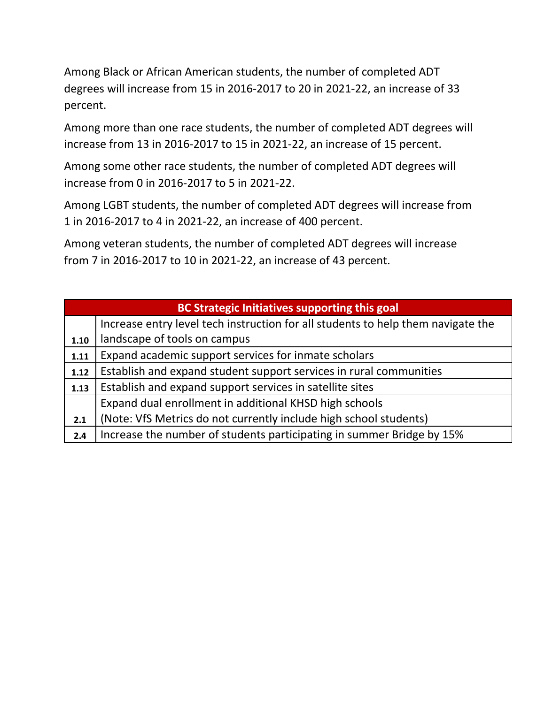Among Black or African American students, the number of completed ADT degrees will increase from 15 in 2016-2017 to 20 in 2021-22, an increase of 33 percent.

Among more than one race students, the number of completed ADT degrees will increase from 13 in 2016-2017 to 15 in 2021-22, an increase of 15 percent.

Among some other race students, the number of completed ADT degrees will increase from 0 in 2016-2017 to 5 in 2021-22.

Among LGBT students, the number of completed ADT degrees will increase from 1 in 2016-2017 to 4 in 2021-22, an increase of 400 percent.

Among veteran students, the number of completed ADT degrees will increase from 7 in 2016-2017 to 10 in 2021-22, an increase of 43 percent.

|      | <b>BC Strategic Initiatives supporting this goal</b>                             |  |  |  |  |  |  |
|------|----------------------------------------------------------------------------------|--|--|--|--|--|--|
|      | Increase entry level tech instruction for all students to help them navigate the |  |  |  |  |  |  |
| 1.10 | landscape of tools on campus                                                     |  |  |  |  |  |  |
| 1.11 | Expand academic support services for inmate scholars                             |  |  |  |  |  |  |
| 1.12 | Establish and expand student support services in rural communities               |  |  |  |  |  |  |
| 1.13 | Establish and expand support services in satellite sites                         |  |  |  |  |  |  |
|      | Expand dual enrollment in additional KHSD high schools                           |  |  |  |  |  |  |
| 2.1  | (Note: VfS Metrics do not currently include high school students)                |  |  |  |  |  |  |
| 2.4  | Increase the number of students participating in summer Bridge by 15%            |  |  |  |  |  |  |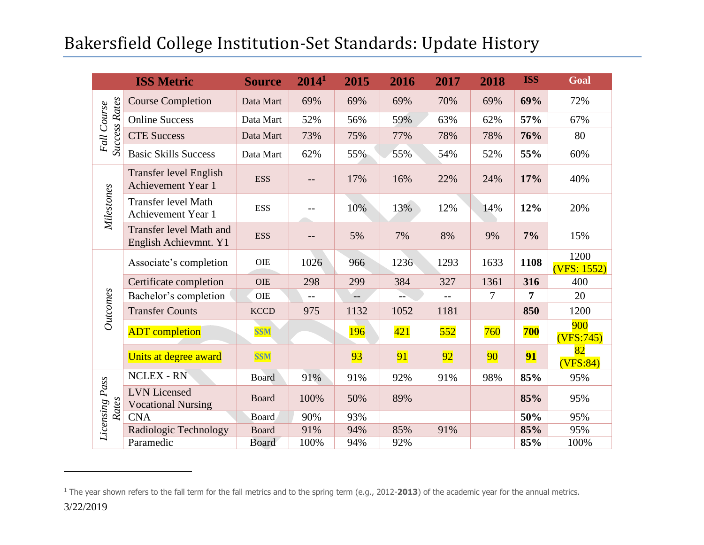# Bakersfield College Institution-Set Standards: Update History

|                                     | <b>ISS Metric</b>                                       | <b>Source</b> | 2014 <sup>1</sup> | 2015 | 2016             | 2017 | 2018            | <b>ISS</b> | <b>Goal</b>         |
|-------------------------------------|---------------------------------------------------------|---------------|-------------------|------|------------------|------|-----------------|------------|---------------------|
|                                     | <b>Course Completion</b>                                | Data Mart     | 69%               | 69%  | 69%              | 70%  | 69%             | 69%        | 72%                 |
| <b>Success Rates</b><br>Fall Course | <b>Online Success</b>                                   | Data Mart     | 52%               | 56%  | 59%              | 63%  | 62%             | 57%        | 67%                 |
|                                     | <b>CTE Success</b>                                      | Data Mart     | 73%               | 75%  | 77%              | 78%  | 78%             | 76%        | 80                  |
|                                     | <b>Basic Skills Success</b>                             | Data Mart     | 62%               | 55%  | 55%              | 54%  | 52%             | 55%        | 60%                 |
|                                     | <b>Transfer level English</b><br>Achievement Year 1     | <b>ESS</b>    | $--$              | 17%  | 16%              | 22%  | 24%             | 17%        | 40%                 |
| Milestones                          | <b>Transfer level Math</b><br>Achievement Year 1        | <b>ESS</b>    |                   | 10%  | 13%              | 12%  | 14%             | 12%        | 20%                 |
|                                     | <b>Transfer level Math and</b><br>English Achievmnt. Y1 | <b>ESS</b>    |                   | 5%   | 7%               | 8%   | 9%              | 7%         | 15%                 |
|                                     | Associate's completion                                  | <b>OIE</b>    | 1026              | 966  | 1236             | 1293 | 1633            | 1108       | 1200<br>(VFS: 1552) |
|                                     | Certificate completion                                  | <b>OIE</b>    | 298               | 299  | 384              | 327  | 1361            | 316        | 400                 |
|                                     | Bachelor's completion                                   | <b>OIE</b>    | $ -$              | $-$  |                  | $-$  | 7               | 7          | 20                  |
| Outcomes                            | <b>Transfer Counts</b>                                  | <b>KCCD</b>   | 975               | 1132 | 1052             | 1181 |                 | 850        | 1200                |
|                                     | <b>ADT</b> completion                                   | <b>SSM</b>    |                   | 196  | $\overline{421}$ | 552  | 760             | <b>700</b> | 900<br>(VFS:745)    |
|                                     | Units at degree award                                   | <b>SSM</b>    |                   | 93   | 91               | 92   | 90 <sub>o</sub> | 91         | 82<br>(VFS:84)      |
|                                     | <b>NCLEX - RN</b>                                       | <b>Board</b>  | 91%               | 91%  | 92%              | 91%  | 98%             | 85%        | 95%                 |
| Licensing Pass<br>Rates             | <b>LVN</b> Licensed<br><b>Vocational Nursing</b>        | <b>Board</b>  | 100%              | 50%  | 89%              |      |                 | 85%        | 95%                 |
|                                     | <b>CNA</b>                                              | Board         | 90%               | 93%  |                  |      |                 | 50%        | 95%                 |
|                                     | Radiologic Technology                                   | <b>Board</b>  | 91%               | 94%  | 85%              | 91%  |                 | 85%        | 95%                 |
|                                     | Paramedic                                               | <b>Board</b>  | 100%              | 94%  | 92%              |      |                 | 85%        | 100%                |

 $\overline{a}$ 

<sup>&</sup>lt;sup>1</sup> The year shown refers to the fall term for the fall metrics and to the spring term (e.g., 2012-2013) of the academic year for the annual metrics.